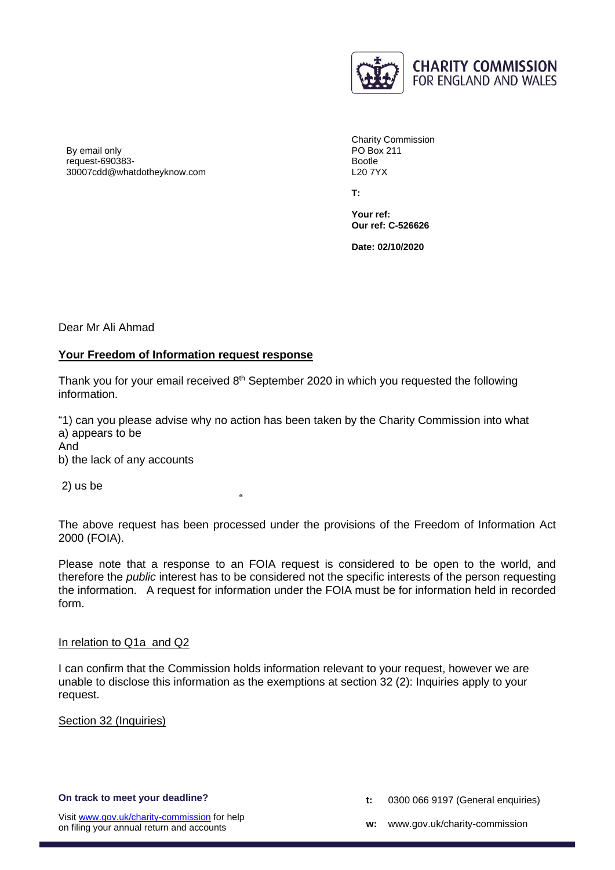

By email only request-690383- 30007cdd@whatdotheyknow.com

Charity Commission PO Box 211 Bootle L20 7YX

**T:** 

**Your ref: Our ref: C-526626**

**Date: 02/10/2020**

Dear Mr Ali Ahmad

# **Your Freedom of Information request response**

Thank you for your email received 8<sup>th</sup> September 2020 in which you requested the following information.

"1) can you please advise why no action has been taken by the Charity Commission into what a) appears to be

"

And

b) the lack of any accounts

2) us be

The above request has been processed under the provisions of the Freedom of Information Act 2000 (FOIA).

Please note that a response to an FOIA request is considered to be open to the world, and therefore the *public* interest has to be considered not the specific interests of the person requesting the information. A request for information under the FOIA must be for information held in recorded form.

#### In relation to Q1a and Q2

I can confirm that the Commission holds information relevant to your request, however we are unable to disclose this information as the exemptions at section 32 (2): Inquiries apply to your request.

Section 32 (Inquiries)

- **t:** 0300 066 9197 (General enquiries)
- **w:** www.gov.uk/charity-commission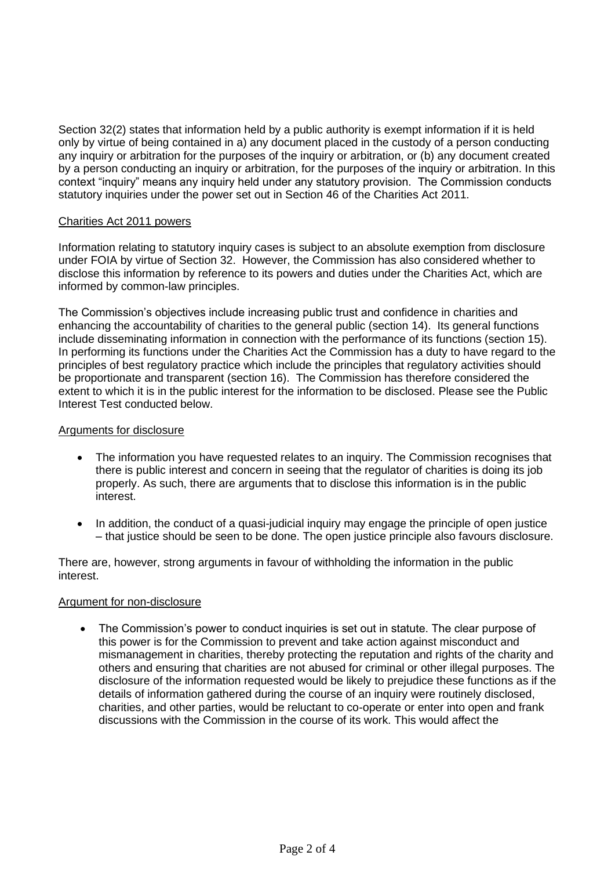Section 32(2) states that information held by a public authority is exempt information if it is held only by virtue of being contained in a) any document placed in the custody of a person conducting any inquiry or arbitration for the purposes of the inquiry or arbitration, or (b) any document created by a person conducting an inquiry or arbitration, for the purposes of the inquiry or arbitration. In this context "inquiry" means any inquiry held under any statutory provision. The Commission conducts statutory inquiries under the power set out in Section 46 of the Charities Act 2011.

## Charities Act 2011 powers

Information relating to statutory inquiry cases is subject to an absolute exemption from disclosure under FOIA by virtue of Section 32. However, the Commission has also considered whether to disclose this information by reference to its powers and duties under the Charities Act, which are informed by common-law principles.

The Commission's objectives include increasing public trust and confidence in charities and enhancing the accountability of charities to the general public (section 14). Its general functions include disseminating information in connection with the performance of its functions (section 15). In performing its functions under the Charities Act the Commission has a duty to have regard to the principles of best regulatory practice which include the principles that regulatory activities should be proportionate and transparent (section 16). The Commission has therefore considered the extent to which it is in the public interest for the information to be disclosed. Please see the Public Interest Test conducted below.

# Arguments for disclosure

- The information you have requested relates to an inquiry. The Commission recognises that there is public interest and concern in seeing that the regulator of charities is doing its job properly. As such, there are arguments that to disclose this information is in the public interest.
- In addition, the conduct of a quasi-judicial inquiry may engage the principle of open justice – that justice should be seen to be done. The open justice principle also favours disclosure.

There are, however, strong arguments in favour of withholding the information in the public interest.

## Argument for non-disclosure

• The Commission's power to conduct inquiries is set out in statute. The clear purpose of this power is for the Commission to prevent and take action against misconduct and mismanagement in charities, thereby protecting the reputation and rights of the charity and others and ensuring that charities are not abused for criminal or other illegal purposes. The disclosure of the information requested would be likely to prejudice these functions as if the details of information gathered during the course of an inquiry were routinely disclosed, charities, and other parties, would be reluctant to co-operate or enter into open and frank discussions with the Commission in the course of its work. This would affect the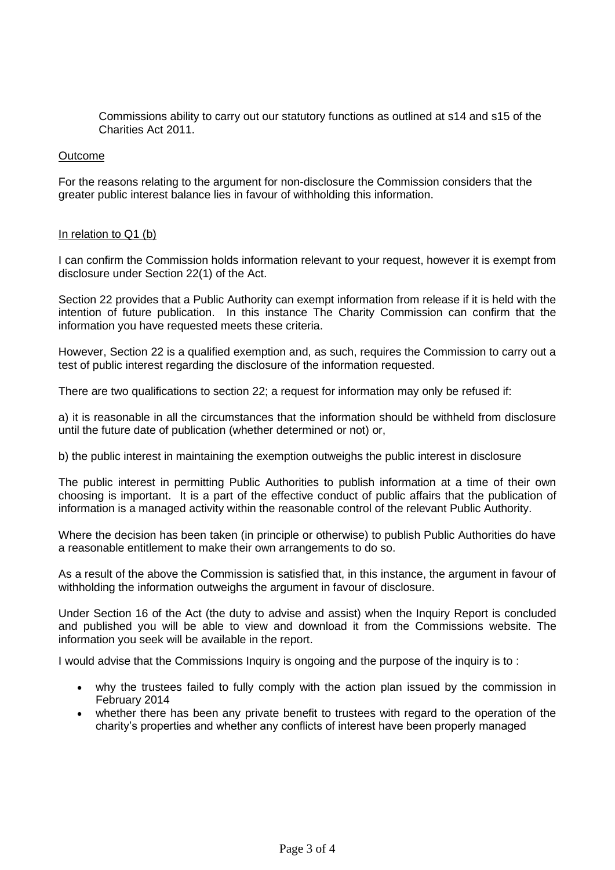Commissions ability to carry out our statutory functions as outlined at s14 and s15 of the Charities Act 2011.

### Outcome

For the reasons relating to the argument for non-disclosure the Commission considers that the greater public interest balance lies in favour of withholding this information.

#### In relation to Q1 (b)

I can confirm the Commission holds information relevant to your request, however it is exempt from disclosure under Section 22(1) of the Act.

Section 22 provides that a Public Authority can exempt information from release if it is held with the intention of future publication. In this instance The Charity Commission can confirm that the information you have requested meets these criteria.

However, Section 22 is a qualified exemption and, as such, requires the Commission to carry out a test of public interest regarding the disclosure of the information requested.

There are two qualifications to section 22; a request for information may only be refused if:

a) it is reasonable in all the circumstances that the information should be withheld from disclosure until the future date of publication (whether determined or not) or,

b) the public interest in maintaining the exemption outweighs the public interest in disclosure

The public interest in permitting Public Authorities to publish information at a time of their own choosing is important. It is a part of the effective conduct of public affairs that the publication of information is a managed activity within the reasonable control of the relevant Public Authority.

Where the decision has been taken (in principle or otherwise) to publish Public Authorities do have a reasonable entitlement to make their own arrangements to do so.

As a result of the above the Commission is satisfied that, in this instance, the argument in favour of withholding the information outweighs the argument in favour of disclosure.

Under Section 16 of the Act (the duty to advise and assist) when the Inquiry Report is concluded and published you will be able to view and download it from the Commissions website. The information you seek will be available in the report.

I would advise that the Commissions Inquiry is ongoing and the purpose of the inquiry is to :

- why the trustees failed to fully comply with the action plan issued by the commission in February 2014
- whether there has been any private benefit to trustees with regard to the operation of the charity's properties and whether any conflicts of interest have been properly managed